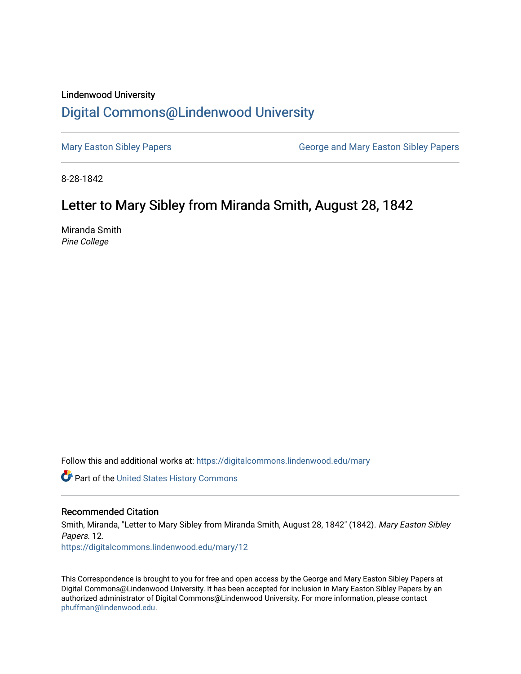### Lindenwood University

# [Digital Commons@Lindenwood University](https://digitalcommons.lindenwood.edu/)

[Mary Easton Sibley Papers](https://digitalcommons.lindenwood.edu/mary) **George and Mary Easton Sibley Papers** George and Mary Easton Sibley Papers

8-28-1842

# Letter to Mary Sibley from Miranda Smith, August 28, 1842

Miranda Smith Pine College

Follow this and additional works at: [https://digitalcommons.lindenwood.edu/mary](https://digitalcommons.lindenwood.edu/mary?utm_source=digitalcommons.lindenwood.edu%2Fmary%2F12&utm_medium=PDF&utm_campaign=PDFCoverPages) 

Part of the [United States History Commons](http://network.bepress.com/hgg/discipline/495?utm_source=digitalcommons.lindenwood.edu%2Fmary%2F12&utm_medium=PDF&utm_campaign=PDFCoverPages) 

### Recommended Citation

Smith, Miranda, "Letter to Mary Sibley from Miranda Smith, August 28, 1842" (1842). Mary Easton Sibley Papers. 12. [https://digitalcommons.lindenwood.edu/mary/12](https://digitalcommons.lindenwood.edu/mary/12?utm_source=digitalcommons.lindenwood.edu%2Fmary%2F12&utm_medium=PDF&utm_campaign=PDFCoverPages)

This Correspondence is brought to you for free and open access by the George and Mary Easton Sibley Papers at Digital Commons@Lindenwood University. It has been accepted for inclusion in Mary Easton Sibley Papers by an authorized administrator of Digital Commons@Lindenwood University. For more information, please contact [phuffman@lindenwood.edu](mailto:phuffman@lindenwood.edu).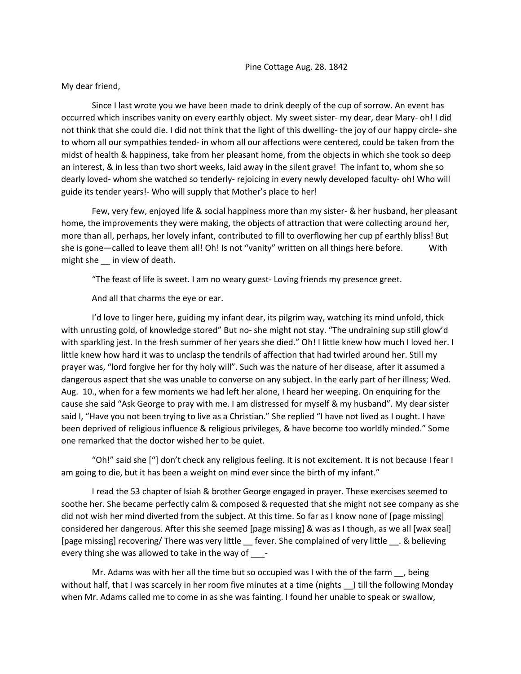My dear friend,

Since I last wrote you we have been made to drink deeply of the cup of sorrow. An event has occurred which inscribes vanity on every earthly object. My sweet sister- my dear, dear Mary- oh! I did not think that she could die. I did not think that the light of this dwelling- the joy of our happy circle- she to whom all our sympathies tended- in whom all our affections were centered, could be taken from the midst of health & happiness, take from her pleasant home, from the objects in which she took so deep an interest, & in less than two short weeks, laid away in the silent grave! The infant to, whom she so dearly loved- whom she watched so tenderly- rejoicing in every newly developed faculty- oh! Who will guide its tender years!- Who will supply that Mother's place to her!

Few, very few, enjoyed life & social happiness more than my sister- & her husband, her pleasant home, the improvements they were making, the objects of attraction that were collecting around her, more than all, perhaps, her lovely infant, contributed to fill to overflowing her cup pf earthly bliss! But she is gone—called to leave them all! Oh! Is not "vanity" written on all things here before. With might she in view of death.

"The feast of life is sweet. I am no weary guest- Loving friends my presence greet.

And all that charms the eye or ear.

I'd love to linger here, guiding my infant dear, its pilgrim way, watching its mind unfold, thick with unrusting gold, of knowledge stored" But no- she might not stay. "The undraining sup still glow'd with sparkling jest. In the fresh summer of her years she died." Oh! I little knew how much I loved her. I little knew how hard it was to unclasp the tendrils of affection that had twirled around her. Still my prayer was, "lord forgive her for thy holy will". Such was the nature of her disease, after it assumed a dangerous aspect that she was unable to converse on any subject. In the early part of her illness; Wed. Aug. 10., when for a few moments we had left her alone, I heard her weeping. On enquiring for the cause she said "Ask George to pray with me. I am distressed for myself & my husband". My dear sister said I, "Have you not been trying to live as a Christian." She replied "I have not lived as I ought. I have been deprived of religious influence & religious privileges, & have become too worldly minded." Some one remarked that the doctor wished her to be quiet.

"Oh!" said she ["] don't check any religious feeling. It is not excitement. It is not because I fear I am going to die, but it has been a weight on mind ever since the birth of my infant."

I read the 53 chapter of Isiah & brother George engaged in prayer. These exercises seemed to soothe her. She became perfectly calm & composed & requested that she might not see company as she did not wish her mind diverted from the subject. At this time. So far as I know none of [page missing] considered her dangerous. After this she seemed [page missing] & was as I though, as we all [wax seal] [page missing] recovering/ There was very little fever. She complained of very little . & believing every thing she was allowed to take in the way of  $\qquad -$ 

Mr. Adams was with her all the time but so occupied was I with the of the farm \_\_, being without half, that I was scarcely in her room five minutes at a time (nights  $\Box$ ) till the following Monday when Mr. Adams called me to come in as she was fainting. I found her unable to speak or swallow,